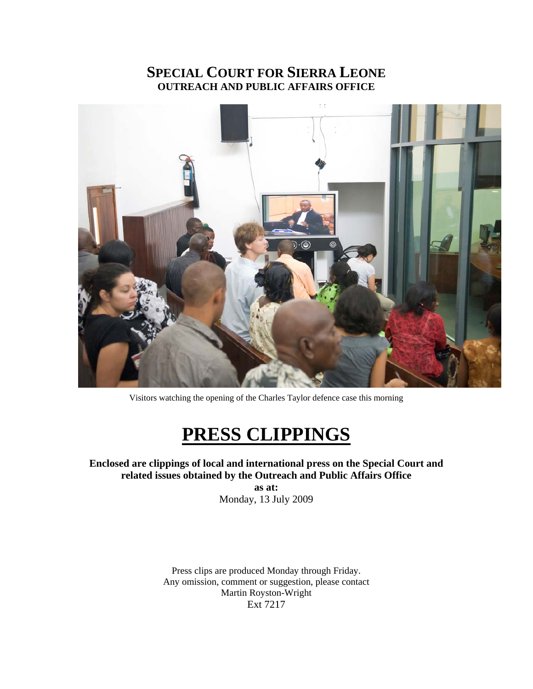# **SPECIAL COURT FOR SIERRA LEONE OUTREACH AND PUBLIC AFFAIRS OFFICE**



Visitors watching the opening of the Charles Taylor defence case this morning

# **PRESS CLIPPINGS**

# **Enclosed are clippings of local and international press on the Special Court and related issues obtained by the Outreach and Public Affairs Office**

**as at:**  Monday, 13 July 2009

Press clips are produced Monday through Friday. Any omission, comment or suggestion, please contact Martin Royston-Wright Ext 7217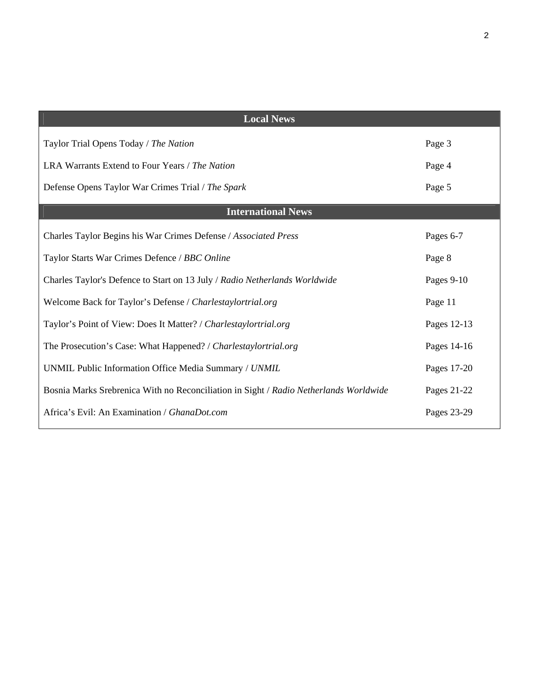| <b>Local News</b>                                                                     |             |
|---------------------------------------------------------------------------------------|-------------|
| Taylor Trial Opens Today / The Nation                                                 | Page 3      |
| LRA Warrants Extend to Four Years / The Nation                                        | Page 4      |
| Defense Opens Taylor War Crimes Trial / The Spark                                     | Page 5      |
| <b>International News</b>                                                             |             |
| Charles Taylor Begins his War Crimes Defense / Associated Press                       | Pages 6-7   |
| Taylor Starts War Crimes Defence / BBC Online                                         | Page 8      |
| Charles Taylor's Defence to Start on 13 July / Radio Netherlands Worldwide            | Pages 9-10  |
| Welcome Back for Taylor's Defense / Charlestaylortrial.org                            | Page 11     |
| Taylor's Point of View: Does It Matter? / Charlestaylortrial.org                      | Pages 12-13 |
| The Prosecution's Case: What Happened? / Charlestaylortrial.org                       | Pages 14-16 |
| UNMIL Public Information Office Media Summary / UNMIL                                 | Pages 17-20 |
| Bosnia Marks Srebrenica With no Reconciliation in Sight / Radio Netherlands Worldwide | Pages 21-22 |
| Africa's Evil: An Examination / GhanaDot.com                                          | Pages 23-29 |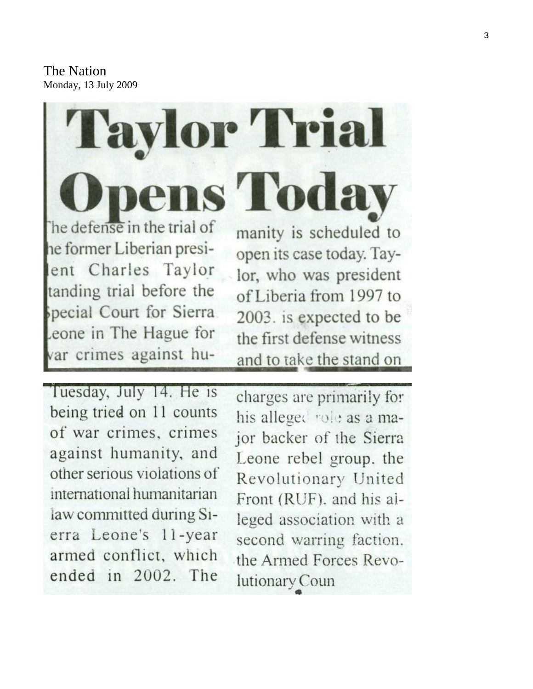The Nation Monday, 13 July 2009

ens Today he defense in the trial of he former Liberian presient Charles Taylor tanding trial before the special Court for Sierra eone in The Hague for var crimes against hu-

**Taylor Trial** 

manity is scheduled to open its case today. Taylor, who was president of Liberia from 1997 to 2003. is expected to be the first defense witness and to take the stand on

Tuesday, July 14. He is being tried on 11 counts of war crimes, crimes against humanity, and other serious violations of international humanitarian law committed during Sierra Leone's 11-year armed conflict, which ended in 2002. The

charges are primarily for his alleged role as a major backer of the Sierra Leone rebel group, the Revolutionary United Front (RUF), and his alleged association with a second warring faction. the Armed Forces Revolutionary Coun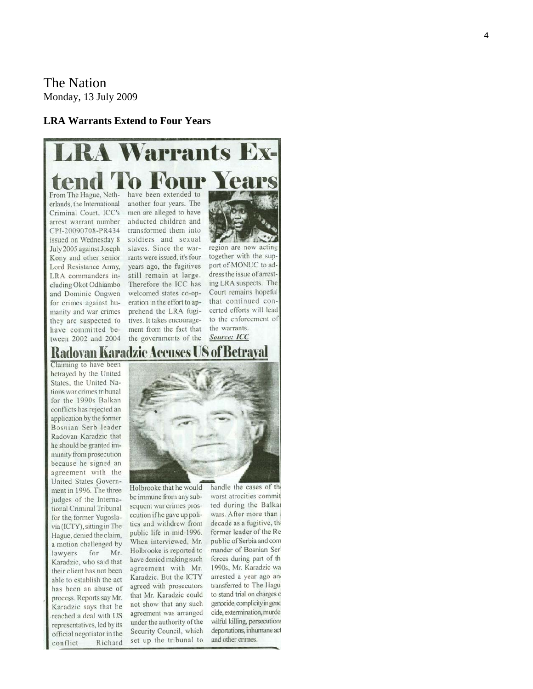## The Nation Monday, 13 July 2009

#### **LRA Warrants Extend to Four Years**

# **LRA Warrants Ex**l'o Four

From The Hague, Netherlands, the International Criminal Court, ICC's arrest warrant number CPI-20090708-PR434 issued on Wednesday 8 July 2005 against Joseph Kony and other senior Lord Resistance Army, LRA commanders including Okot Odhiambo and Dominic Ongwen for crimes against humanity and war crimes they are suspected to have committed between 2002 and 2004

have been extended to another four years. The men are alleged to have abducted children and transformed them into soldiers and sexual slaves. Since the warrants were issued, it's four years ago, the fugitives still remain at large. Therefore the ICC has welcomed states co-operation in the effort to apprehend the LRA fugitives. It takes encouragement from the fact that the governments of the

region are now acting together with the support of MONUC to address the issue of arresting LRA suspects. The Court remains hopeful that continued concerted efforts will lead to the enforcement of the warrants. Source: ICC

# Radovan Karadzic Accuses US of Betrayal

Claiming to have been betrayed by the United States, the United Nations war crimes tribunal for the 1990s Balkan conflicts has rejected an application by the former Bosnian Serb leader Radovan Karadzic that he should be granted immunity from prosecution because he signed an agreement with the United States Government in 1996. The three judges of the International Criminal Tribunal for the former Yugoslavia (ICTY), sitting in The Hague, denied the claim, a motion challenged by for lawyers Mr. Karadzic, who said that their client has not been able to establish the act has been an abuse of process. Reports say Mr. Karadzic says that he reached a deal with US representatives, led by its official negotiator in the conflict Richard



Holbrooke that he would be immune from any subsequent war crimes prosecution if he gave up politics and withdrew from public life in mid-1996. When interviewed, Mr. Holbrooke is reported to have denied making such agreement with Mr. Karadzic. But the ICTY agreed with prosecutors that Mr. Karadzic could not show that any such agreement was arranged under the authority of the Security Council, which set up the tribunal to

handle the cases of th worst atrocities commit ted during the Balka wars. After more than decade as a fugitive, th former leader of the Re public of Serbia and com mander of Bosnian Serl forces during part of the 1990s, Mr. Karadzic wa arrested a year ago and transferred to The Haguto stand trial on charges o genocide, complicity in geno cide, extermination, murder wilful killing, persecutions deportations, inhumane act and other crimes.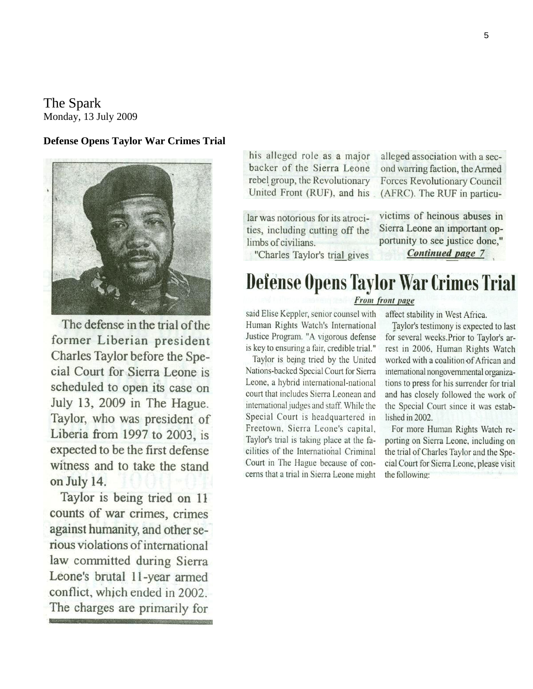The Spark Monday, 13 July 2009

### **Defense Opens Taylor War Crimes Trial**



The defense in the trial of the former Liberian president Charles Taylor before the Special Court for Sierra Leone is scheduled to open its case on July 13, 2009 in The Hague. Taylor, who was president of Liberia from 1997 to 2003, is expected to be the first defense witness and to take the stand on July 14.

Taylor is being tried on 11 counts of war crimes, crimes against humanity, and other serious violations of international law committed during Sierra Leone's brutal 11-year armed conflict, which ended in 2002. The charges are primarily for his alleged role as a major backer of the Sierra Leone rebel group, the Revolutionary United Front (RUF), and his

lar was notorious for its atrocities, including cutting off the limbs of civilians.

alleged association with a second warring faction, the Armed **Forces Revolutionary Council** (AFRC). The RUF in particu-

victims of heinous abuses in Sierra Leone an important opportunity to see justice done," **Continued page 7** 

"Charles Taylor's trial gives

# **Defense Opens Taylor War Crimes Trial**

### From front page

said Elise Keppler, senior counsel with Human Rights Watch's International Justice Program. "A vigorous defense is key to ensuring a fair, credible trial."

Taylor is being tried by the United Nations-backed Special Court for Sierra Leone, a hybrid international-national court that includes Sierra Leonean and international judges and staff. While the Special Court is headquartered in Freetown, Sierra Leone's capital, Taylor's trial is taking place at the facilities of the International Criminal Court in The Hague because of concerns that a trial in Sierra Leone might affect stability in West Africa.

Taylor's testimony is expected to last for several weeks. Prior to Taylor's arrest in 2006, Human Rights Watch worked with a coalition of African and international nongovernmental organizations to press for his surrender for trial and has closely followed the work of the Special Court since it was established in 2002.

For more Human Rights Watch reporting on Sierra Leone, including on the trial of Charles Taylor and the Special Court for Sierra Leone, please visit the following: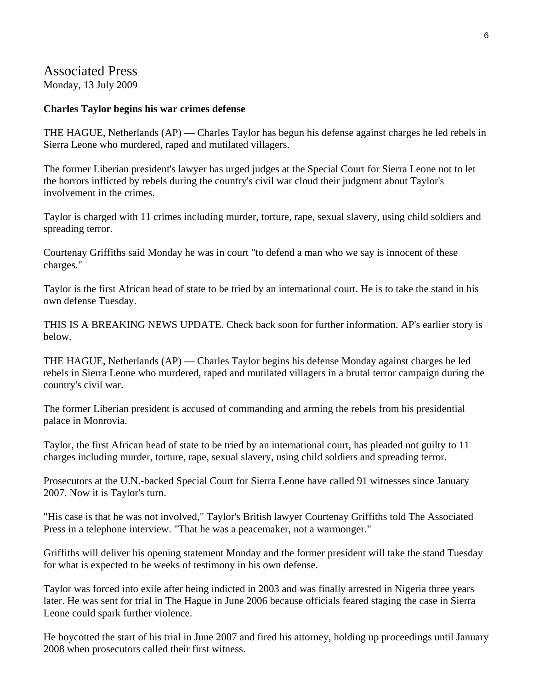# Associated Press

Monday, 13 July 2009

### **Charles Taylor begins his war crimes defense**

THE HAGUE, Netherlands (AP) — Charles Taylor has begun his defense against charges he led rebels in Sierra Leone who murdered, raped and mutilated villagers.

The former Liberian president's lawyer has urged judges at the Special Court for Sierra Leone not to let the horrors inflicted by rebels during the country's civil war cloud their judgment about Taylor's involvement in the crimes.

Taylor is charged with 11 crimes including murder, torture, rape, sexual slavery, using child soldiers and spreading terror.

Courtenay Griffiths said Monday he was in court "to defend a man who we say is innocent of these charges."

Taylor is the first African head of state to be tried by an international court. He is to take the stand in his own defense Tuesday.

THIS IS A BREAKING NEWS UPDATE. Check back soon for further information. AP's earlier story is below.

THE HAGUE, Netherlands (AP) — Charles Taylor begins his defense Monday against charges he led rebels in Sierra Leone who murdered, raped and mutilated villagers in a brutal terror campaign during the country's civil war.

The former Liberian president is accused of commanding and arming the rebels from his presidential palace in Monrovia.

Taylor, the first African head of state to be tried by an international court, has pleaded not guilty to 11 charges including murder, torture, rape, sexual slavery, using child soldiers and spreading terror.

Prosecutors at the U.N.-backed Special Court for Sierra Leone have called 91 witnesses since January 2007. Now it is Taylor's turn.

"His case is that he was not involved," Taylor's British lawyer Courtenay Griffiths told The Associated Press in a telephone interview. "That he was a peacemaker, not a warmonger."

Griffiths will deliver his opening statement Monday and the former president will take the stand Tuesday for what is expected to be weeks of testimony in his own defense.

Taylor was forced into exile after being indicted in 2003 and was finally arrested in Nigeria three years later. He was sent for trial in The Hague in June 2006 because officials feared staging the case in Sierra Leone could spark further violence.

He boycotted the start of his trial in June 2007 and fired his attorney, holding up proceedings until January 2008 when prosecutors called their first witness.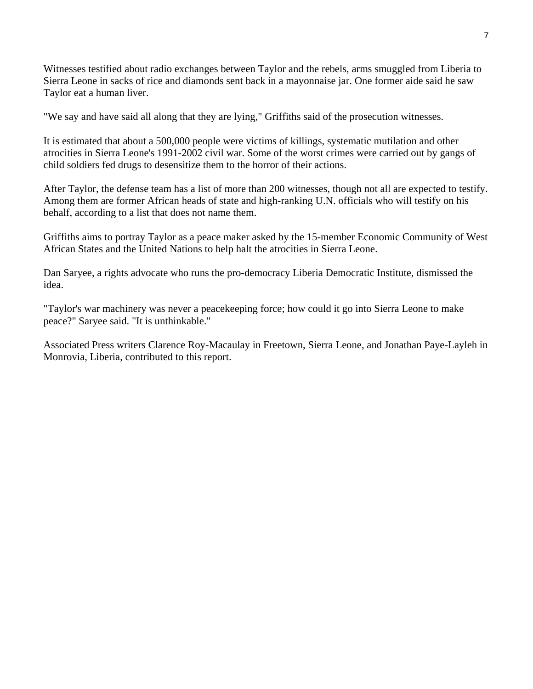Witnesses testified about radio exchanges between Taylor and the rebels, arms smuggled from Liberia to Sierra Leone in sacks of rice and diamonds sent back in a mayonnaise jar. One former aide said he saw Taylor eat a human liver.

"We say and have said all along that they are lying," Griffiths said of the prosecution witnesses.

It is estimated that about a 500,000 people were victims of killings, systematic mutilation and other atrocities in Sierra Leone's 1991-2002 civil war. Some of the worst crimes were carried out by gangs of child soldiers fed drugs to desensitize them to the horror of their actions.

After Taylor, the defense team has a list of more than 200 witnesses, though not all are expected to testify. Among them are former African heads of state and high-ranking U.N. officials who will testify on his behalf, according to a list that does not name them.

Griffiths aims to portray Taylor as a peace maker asked by the 15-member Economic Community of West African States and the United Nations to help halt the atrocities in Sierra Leone.

Dan Saryee, a rights advocate who runs the pro-democracy Liberia Democratic Institute, dismissed the idea.

"Taylor's war machinery was never a peacekeeping force; how could it go into Sierra Leone to make peace?" Saryee said. "It is unthinkable."

Associated Press writers Clarence Roy-Macaulay in Freetown, Sierra Leone, and Jonathan Paye-Layleh in Monrovia, Liberia, contributed to this report.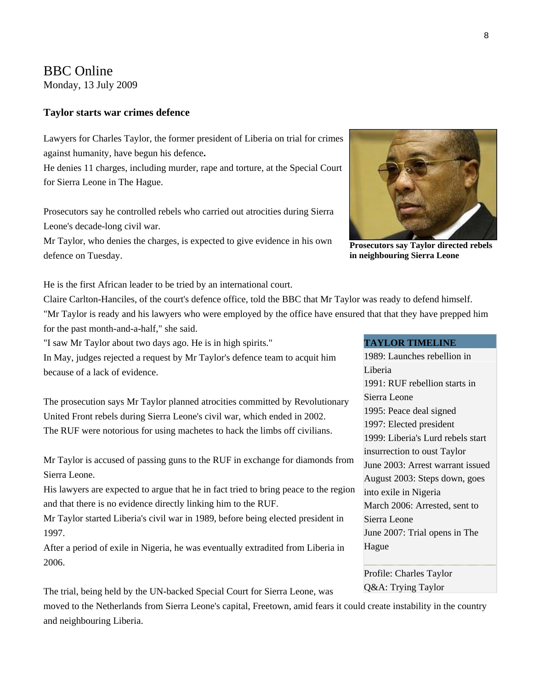# BBC Online

Monday, 13 July 2009

### **Taylor starts war crimes defence**

Lawyers for Charles Taylor, the former president of Liberia on trial for crimes against humanity, have begun his defence**.**

He denies 11 charges, including murder, rape and torture, at the Special Court for Sierra Leone in The Hague.

Prosecutors say he controlled rebels who carried out atrocities during Sierra Leone's decade-long civil war.

Mr Taylor, who denies the charges, is expected to give evidence in his own defence on Tuesday.



**Prosecutors say Taylor directed rebels in neighbouring Sierra Leone** 

He is the first African leader to be tried by an international court.

Claire Carlton-Hanciles, of the court's defence office, told the BBC that Mr Taylor was ready to defend himself. "Mr Taylor is ready and his lawyers who were employed by the office have ensured that that they have prepped him for the past month-and-a-half," she said.

"I saw Mr Taylor about two days ago. He is in high spirits."

In May, judges rejected a request by Mr Taylor's defence team to acquit him because of a lack of evidence.

The prosecution says Mr Taylor planned atrocities committed by Revolutionary United Front rebels during Sierra Leone's civil war, which ended in 2002. The RUF were notorious for using machetes to hack the limbs off civilians.

Mr Taylor is accused of passing guns to the RUF in exchange for diamonds from Sierra Leone.

His lawyers are expected to argue that he in fact tried to bring peace to the region and that there is no evidence directly linking him to the RUF.

Mr Taylor started Liberia's civil war in 1989, before being elected president in 1997.

After a period of exile in Nigeria, he was eventually extradited from Liberia in 2006.

The trial, being held by the UN-backed Special Court for Sierra Leone, was

moved to the Netherlands from Sierra Leone's capital, Freetown, amid fears it could create instability in the country and neighbouring Liberia.

#### **TAYLOR TIMELINE**

1989: Launches rebellion in Liberia 1991: RUF rebellion starts in Sierra Leone 1995: Peace deal signed 1997: Elected president 1999: Liberia's Lurd rebels start insurrection to oust Taylor June 2003: Arrest warrant issued August 2003: Steps down, goes into exile in Nigeria March 2006: Arrested, sent to Sierra Leone June 2007: Trial opens in The Hague

[Profile: Charles Taylor](http://news.bbc.co.uk/2/hi/africa/2963086.stm)  [Q&A: Trying Taylor](http://news.bbc.co.uk/2/hi/africa/4848938.stm)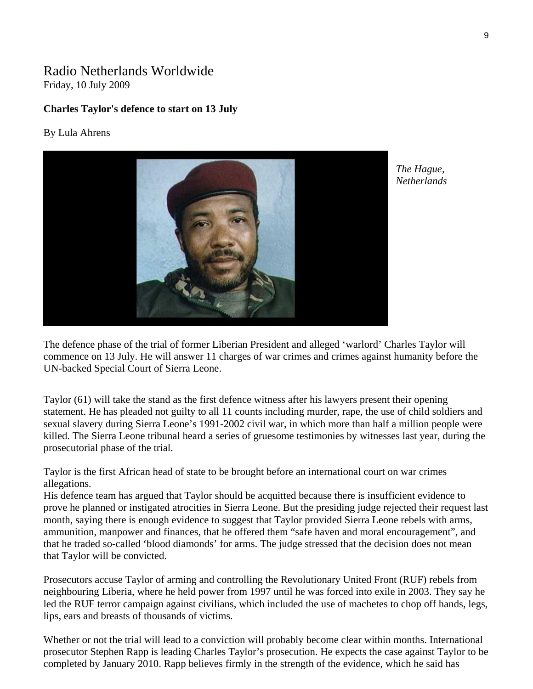# Radio Netherlands Worldwide Friday, 10 July 2009

### **Charles Taylor's defence to start on 13 July**

#### By Lula Ahrens



*The Hague, Netherlands* 

The defence phase of the trial of former Liberian President and alleged 'warlord' Charles Taylor will commence on 13 July. He will answer 11 charges of war crimes and crimes against humanity before the UN-backed Special Court of Sierra Leone.

Taylor (61) will take the stand as the first defence witness after his lawyers present their opening statement. He has pleaded not guilty to all 11 counts including murder, rape, the use of child soldiers and sexual slavery during Sierra Leone's 1991-2002 civil war, in which more than half a million people were killed. The Sierra Leone tribunal heard a series of gruesome testimonies by witnesses last year, during the prosecutorial phase of the trial.

Taylor is the first African head of state to be brought before an international court on war crimes allegations.

His defence team has argued that Taylor should be acquitted because there is insufficient evidence to prove he planned or instigated atrocities in Sierra Leone. But the presiding judge rejected their request last month, saying there is enough evidence to suggest that Taylor provided Sierra Leone rebels with arms, ammunition, manpower and finances, that he offered them "safe haven and moral encouragement", and that he traded so-called 'blood diamonds' for arms. The judge stressed that the decision does not mean that Taylor will be convicted.

Prosecutors accuse Taylor of arming and controlling the Revolutionary United Front (RUF) rebels from neighbouring Liberia, where he held power from 1997 until he was forced into exile in 2003. They say he led the RUF terror campaign against civilians, which included the use of machetes to chop off hands, legs, lips, ears and breasts of thousands of victims.

Whether or not the trial will lead to a conviction will probably become clear within months. International prosecutor Stephen Rapp is leading Charles Taylor's prosecution. He expects the case against Taylor to be completed by January 2010. Rapp believes firmly in the strength of the evidence, which he said has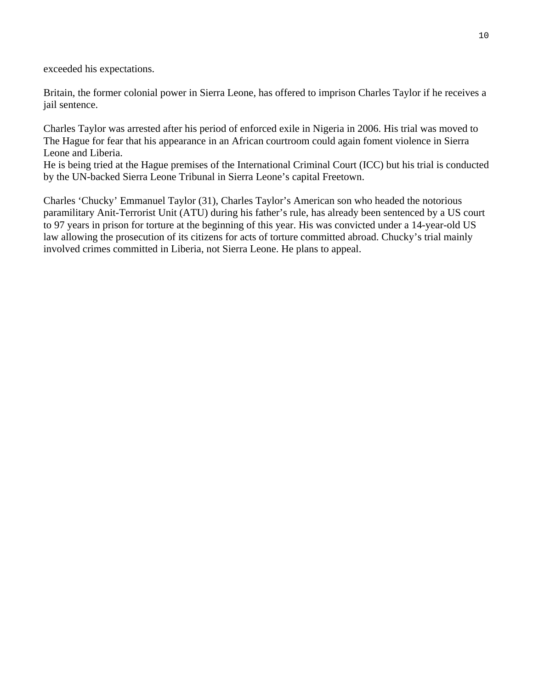exceeded his expectations.

Britain, the former colonial power in Sierra Leone, has offered to imprison Charles Taylor if he receives a jail sentence.

Charles Taylor was arrested after his period of enforced exile in Nigeria in 2006. His trial was moved to The Hague for fear that his appearance in an African courtroom could again foment violence in Sierra Leone and Liberia.

He is being tried at the Hague premises of the International Criminal Court (ICC) but his trial is conducted by the UN-backed Sierra Leone Tribunal in Sierra Leone's capital Freetown.

Charles 'Chucky' Emmanuel Taylor (31), Charles Taylor's American son who headed the notorious paramilitary Anit-Terrorist Unit (ATU) during his father's rule, has already been sentenced by a US court to 97 years in prison for torture at the beginning of this year. His was convicted under a 14-year-old US law allowing the prosecution of its citizens for acts of torture committed abroad. Chucky's trial mainly involved crimes committed in Liberia, not Sierra Leone. He plans to appeal.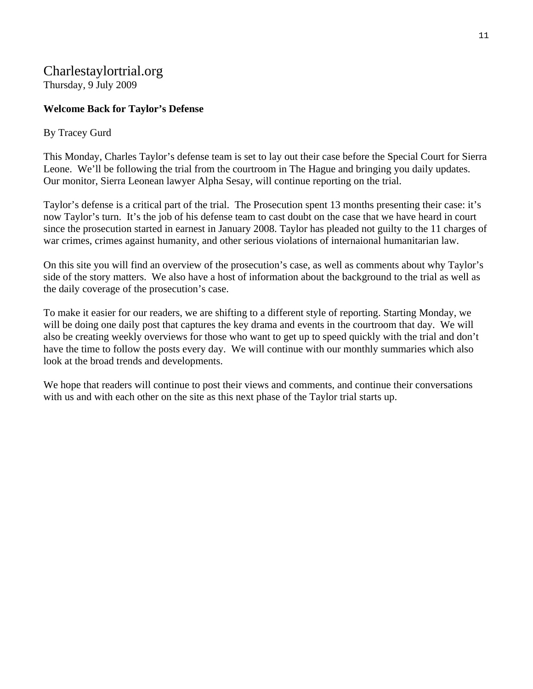# Charlestaylortrial.org Thursday, 9 July 2009

### **Welcome Back for Taylor's Defense**

### By Tracey Gurd

This Monday, Charles Taylor's defense team is set to lay out their case before the Special Court for Sierra Leone. We'll be following the trial from the courtroom in The Hague and bringing you daily updates. Our monitor, Sierra Leonean lawyer Alpha Sesay, will continue reporting on the trial.

Taylor's defense is a critical part of the trial. The Prosecution spent 13 months presenting their case: it's now Taylor's turn. It's the job of his defense team to cast doubt on the case that we have heard in court since the prosecution started in earnest in January 2008. Taylor has pleaded not guilty to the 11 charges of war crimes, crimes against humanity, and other serious violations of internaional humanitarian law.

On this site you will find an overview of the prosecution's case, as well as comments about why Taylor's side of the story matters. We also have a host of information about the background to the trial as well as the daily coverage of the prosecution's case.

To make it easier for our readers, we are shifting to a different style of reporting. Starting Monday, we will be doing one daily post that captures the key drama and events in the courtroom that day. We will also be creating weekly overviews for those who want to get up to speed quickly with the trial and don't have the time to follow the posts every day. We will continue with our monthly summaries which also look at the broad trends and developments.

We hope that readers will continue to post their views and comments, and continue their conversations with us and with each other on the site as this next phase of the Taylor trial starts up.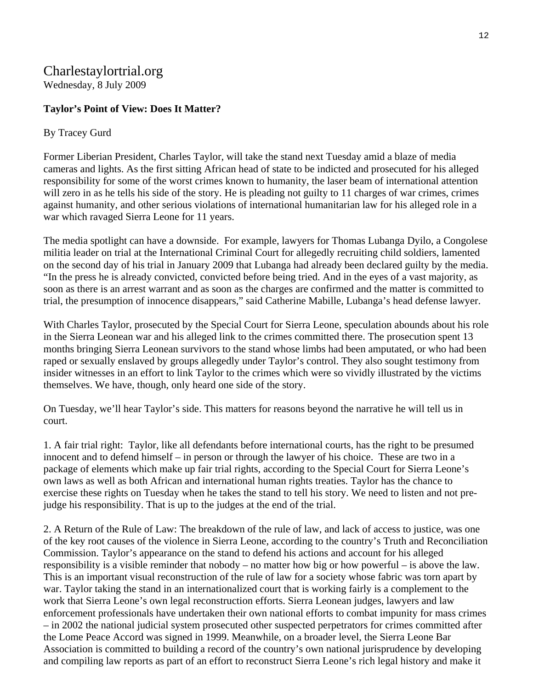# Charlestaylortrial.org

Wednesday, 8 July 2009

## **Taylor's Point of View: Does It Matter?**

### By Tracey Gurd

Former Liberian President, Charles Taylor, will take the stand next Tuesday amid a blaze of media cameras and lights. As the first sitting African head of state to be indicted and prosecuted for his alleged responsibility for some of the worst crimes known to humanity, the laser beam of international attention will zero in as he tells his side of the story. He is pleading not guilty to 11 charges of war crimes, crimes against humanity, and other serious violations of international humanitarian law for his alleged role in a war which ravaged Sierra Leone for 11 years.

The media spotlight can have a downside. For example, lawyers for Thomas Lubanga Dyilo, a Congolese militia leader on trial at the International Criminal Court for allegedly recruiting child soldiers, lamented on the second day of his trial in January 2009 that Lubanga had already been declared guilty by the media. "In the press he is already convicted, convicted before being tried. And in the eyes of a vast majority, as soon as there is an arrest warrant and as soon as the charges are confirmed and the matter is committed to trial, the presumption of innocence disappears," said Catherine Mabille, Lubanga's head defense lawyer.

With Charles Taylor, prosecuted by the Special Court for Sierra Leone, speculation abounds about his role in the Sierra Leonean war and his alleged link to the crimes committed there. The prosecution spent 13 months bringing Sierra Leonean survivors to the stand whose limbs had been amputated, or who had been raped or sexually enslaved by groups allegedly under Taylor's control. They also sought testimony from insider witnesses in an effort to link Taylor to the crimes which were so vividly illustrated by the victims themselves. We have, though, only heard one side of the story.

On Tuesday, we'll hear Taylor's side. This matters for reasons beyond the narrative he will tell us in court.

1. A fair trial right: Taylor, like all defendants before international courts, has the right to be presumed innocent and to defend himself – in person or through the lawyer of his choice. These are two in a package of elements which make up fair trial rights, according to the Special Court for Sierra Leone's own laws as well as both African and international human rights treaties. Taylor has the chance to exercise these rights on Tuesday when he takes the stand to tell his story. We need to listen and not prejudge his responsibility. That is up to the judges at the end of the trial.

2. A Return of the Rule of Law: The breakdown of the rule of law, and lack of access to justice, was one of the key root causes of the violence in Sierra Leone, according to the country's Truth and Reconciliation Commission. Taylor's appearance on the stand to defend his actions and account for his alleged responsibility is a visible reminder that nobody – no matter how big or how powerful – is above the law. This is an important visual reconstruction of the rule of law for a society whose fabric was torn apart by war. Taylor taking the stand in an internationalized court that is working fairly is a complement to the work that Sierra Leone's own legal reconstruction efforts. Sierra Leonean judges, lawyers and law enforcement professionals have undertaken their own national efforts to combat impunity for mass crimes – in 2002 the national judicial system prosecuted other suspected perpetrators for crimes committed after the Lome Peace Accord was signed in 1999. Meanwhile, on a broader level, the Sierra Leone Bar Association is committed to building a record of the country's own national jurisprudence by developing and compiling law reports as part of an effort to reconstruct Sierra Leone's rich legal history and make it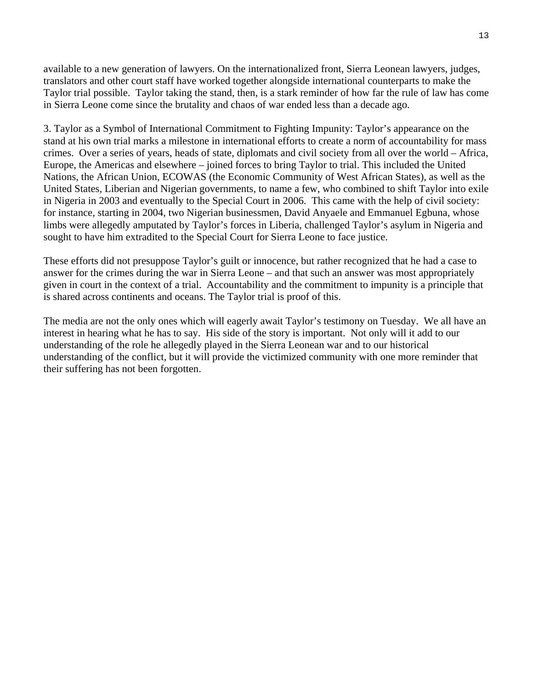available to a new generation of lawyers. On the internationalized front, Sierra Leonean lawyers, judges, translators and other court staff have worked together alongside international counterparts to make the Taylor trial possible. Taylor taking the stand, then, is a stark reminder of how far the rule of law has come in Sierra Leone come since the brutality and chaos of war ended less than a decade ago.

3. Taylor as a Symbol of International Commitment to Fighting Impunity: Taylor's appearance on the stand at his own trial marks a milestone in international efforts to create a norm of accountability for mass crimes. Over a series of years, heads of state, diplomats and civil society from all over the world – Africa, Europe, the Americas and elsewhere – joined forces to bring Taylor to trial. This included the United Nations, the African Union, ECOWAS (the Economic Community of West African States), as well as the United States, Liberian and Nigerian governments, to name a few, who combined to shift Taylor into exile in Nigeria in 2003 and eventually to the Special Court in 2006. This came with the help of civil society: for instance, starting in 2004, two Nigerian businessmen, David Anyaele and Emmanuel Egbuna, whose limbs were allegedly amputated by Taylor's forces in Liberia, challenged Taylor's asylum in Nigeria and sought to have him extradited to the Special Court for Sierra Leone to face justice.

These efforts did not presuppose Taylor's guilt or innocence, but rather recognized that he had a case to answer for the crimes during the war in Sierra Leone – and that such an answer was most appropriately given in court in the context of a trial. Accountability and the commitment to impunity is a principle that is shared across continents and oceans. The Taylor trial is proof of this.

The media are not the only ones which will eagerly await Taylor's testimony on Tuesday. We all have an interest in hearing what he has to say. His side of the story is important. Not only will it add to our understanding of the role he allegedly played in the Sierra Leonean war and to our historical understanding of the conflict, but it will provide the victimized community with one more reminder that their suffering has not been forgotten.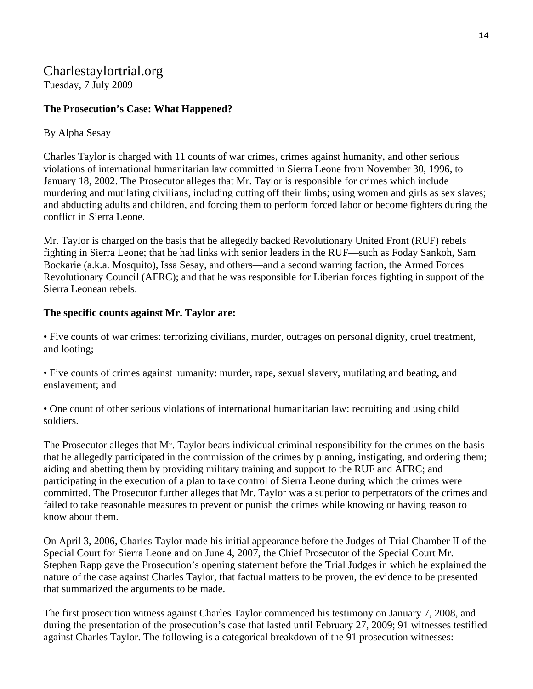# Charlestaylortrial.org

Tuesday, 7 July 2009

## **The Prosecution's Case: What Happened?**

### By Alpha Sesay

Charles Taylor is charged with 11 counts of war crimes, crimes against humanity, and other serious violations of international humanitarian law committed in Sierra Leone from November 30, 1996, to January 18, 2002. The Prosecutor alleges that Mr. Taylor is responsible for crimes which include murdering and mutilating civilians, including cutting off their limbs; using women and girls as sex slaves; and abducting adults and children, and forcing them to perform forced labor or become fighters during the conflict in Sierra Leone.

Mr. Taylor is charged on the basis that he allegedly backed Revolutionary United Front (RUF) rebels fighting in Sierra Leone; that he had links with senior leaders in the RUF—such as Foday Sankoh, Sam Bockarie (a.k.a. Mosquito), Issa Sesay, and others—and a second warring faction, the Armed Forces Revolutionary Council (AFRC); and that he was responsible for Liberian forces fighting in support of the Sierra Leonean rebels.

### **The specific counts against Mr. Taylor are:**

• Five counts of war crimes: terrorizing civilians, murder, outrages on personal dignity, cruel treatment, and looting;

• Five counts of crimes against humanity: murder, rape, sexual slavery, mutilating and beating, and enslavement; and

• One count of other serious violations of international humanitarian law: recruiting and using child soldiers.

The Prosecutor alleges that Mr. Taylor bears individual criminal responsibility for the crimes on the basis that he allegedly participated in the commission of the crimes by planning, instigating, and ordering them; aiding and abetting them by providing military training and support to the RUF and AFRC; and participating in the execution of a plan to take control of Sierra Leone during which the crimes were committed. The Prosecutor further alleges that Mr. Taylor was a superior to perpetrators of the crimes and failed to take reasonable measures to prevent or punish the crimes while knowing or having reason to know about them.

On April 3, 2006, Charles Taylor made his initial appearance before the Judges of Trial Chamber II of the Special Court for Sierra Leone and on June 4, 2007, the Chief Prosecutor of the Special Court Mr. Stephen Rapp gave the Prosecution's opening statement before the Trial Judges in which he explained the nature of the case against Charles Taylor, that factual matters to be proven, the evidence to be presented that summarized the arguments to be made.

The first prosecution witness against Charles Taylor commenced his testimony on January 7, 2008, and during the presentation of the prosecution's case that lasted until February 27, 2009; 91 witnesses testified against Charles Taylor. The following is a categorical breakdown of the 91 prosecution witnesses: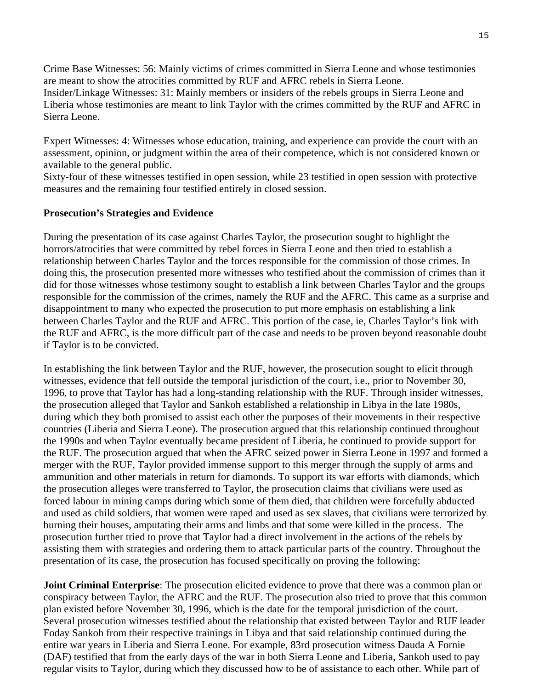Crime Base Witnesses: 56: Mainly victims of crimes committed in Sierra Leone and whose testimonies are meant to show the atrocities committed by RUF and AFRC rebels in Sierra Leone. Insider/Linkage Witnesses: 31: Mainly members or insiders of the rebels groups in Sierra Leone and Liberia whose testimonies are meant to link Taylor with the crimes committed by the RUF and AFRC in Sierra Leone.

Expert Witnesses: 4: Witnesses whose education, training, and experience can provide the court with an assessment, opinion, or judgment within the area of their competence, which is not considered known or available to the general public.

Sixty-four of these witnesses testified in open session, while 23 testified in open session with protective measures and the remaining four testified entirely in closed session.

### **Prosecution's Strategies and Evidence**

During the presentation of its case against Charles Taylor, the prosecution sought to highlight the horrors/atrocities that were committed by rebel forces in Sierra Leone and then tried to establish a relationship between Charles Taylor and the forces responsible for the commission of those crimes. In doing this, the prosecution presented more witnesses who testified about the commission of crimes than it did for those witnesses whose testimony sought to establish a link between Charles Taylor and the groups responsible for the commission of the crimes, namely the RUF and the AFRC. This came as a surprise and disappointment to many who expected the prosecution to put more emphasis on establishing a link between Charles Taylor and the RUF and AFRC. This portion of the case, ie, Charles Taylor's link with the RUF and AFRC, is the more difficult part of the case and needs to be proven beyond reasonable doubt if Taylor is to be convicted.

In establishing the link between Taylor and the RUF, however, the prosecution sought to elicit through witnesses, evidence that fell outside the temporal jurisdiction of the court, i.e., prior to November 30, 1996, to prove that Taylor has had a long-standing relationship with the RUF. Through insider witnesses, the prosecution alleged that Taylor and Sankoh established a relationship in Libya in the late 1980s, during which they both promised to assist each other the purposes of their movements in their respective countries (Liberia and Sierra Leone). The prosecution argued that this relationship continued throughout the 1990s and when Taylor eventually became president of Liberia, he continued to provide support for the RUF. The prosecution argued that when the AFRC seized power in Sierra Leone in 1997 and formed a merger with the RUF, Taylor provided immense support to this merger through the supply of arms and ammunition and other materials in return for diamonds. To support its war efforts with diamonds, which the prosecution alleges were transferred to Taylor, the prosecution claims that civilians were used as forced labour in mining camps during which some of them died, that children were forcefully abducted and used as child soldiers, that women were raped and used as sex slaves, that civilians were terrorized by burning their houses, amputating their arms and limbs and that some were killed in the process. The prosecution further tried to prove that Taylor had a direct involvement in the actions of the rebels by assisting them with strategies and ordering them to attack particular parts of the country. Throughout the presentation of its case, the prosecution has focused specifically on proving the following:

**Joint Criminal Enterprise**: The prosecution elicited evidence to prove that there was a common plan or conspiracy between Taylor, the AFRC and the RUF. The prosecution also tried to prove that this common plan existed before November 30, 1996, which is the date for the temporal jurisdiction of the court. Several prosecution witnesses testified about the relationship that existed between Taylor and RUF leader Foday Sankoh from their respective trainings in Libya and that said relationship continued during the entire war years in Liberia and Sierra Leone. For example, 83rd prosecution witness Dauda A Fornie (DAF) testified that from the early days of the war in both Sierra Leone and Liberia, Sankoh used to pay regular visits to Taylor, during which they discussed how to be of assistance to each other. While part of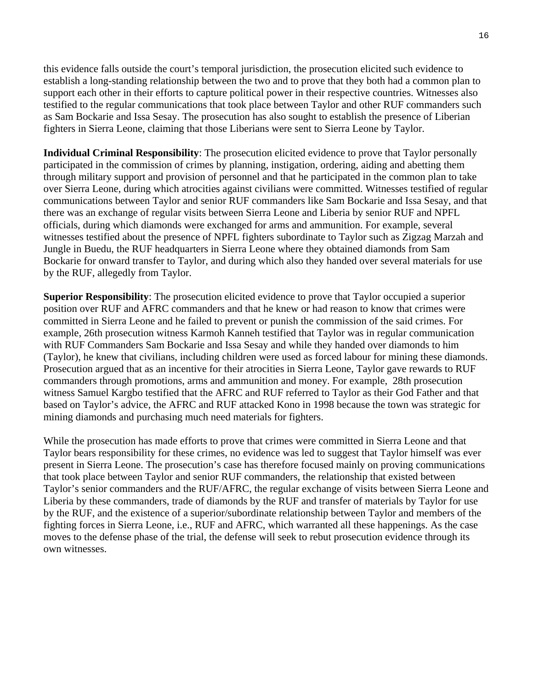this evidence falls outside the court's temporal jurisdiction, the prosecution elicited such evidence to establish a long-standing relationship between the two and to prove that they both had a common plan to support each other in their efforts to capture political power in their respective countries. Witnesses also testified to the regular communications that took place between Taylor and other RUF commanders such as Sam Bockarie and Issa Sesay. The prosecution has also sought to establish the presence of Liberian fighters in Sierra Leone, claiming that those Liberians were sent to Sierra Leone by Taylor.

**Individual Criminal Responsibility**: The prosecution elicited evidence to prove that Taylor personally participated in the commission of crimes by planning, instigation, ordering, aiding and abetting them through military support and provision of personnel and that he participated in the common plan to take over Sierra Leone, during which atrocities against civilians were committed. Witnesses testified of regular communications between Taylor and senior RUF commanders like Sam Bockarie and Issa Sesay, and that there was an exchange of regular visits between Sierra Leone and Liberia by senior RUF and NPFL officials, during which diamonds were exchanged for arms and ammunition. For example, several witnesses testified about the presence of NPFL fighters subordinate to Taylor such as Zigzag Marzah and Jungle in Buedu, the RUF headquarters in Sierra Leone where they obtained diamonds from Sam Bockarie for onward transfer to Taylor, and during which also they handed over several materials for use by the RUF, allegedly from Taylor.

**Superior Responsibility**: The prosecution elicited evidence to prove that Taylor occupied a superior position over RUF and AFRC commanders and that he knew or had reason to know that crimes were committed in Sierra Leone and he failed to prevent or punish the commission of the said crimes. For example, 26th prosecution witness Karmoh Kanneh testified that Taylor was in regular communication with RUF Commanders Sam Bockarie and Issa Sesay and while they handed over diamonds to him (Taylor), he knew that civilians, including children were used as forced labour for mining these diamonds. Prosecution argued that as an incentive for their atrocities in Sierra Leone, Taylor gave rewards to RUF commanders through promotions, arms and ammunition and money. For example, 28th prosecution witness Samuel Kargbo testified that the AFRC and RUF referred to Taylor as their God Father and that based on Taylor's advice, the AFRC and RUF attacked Kono in 1998 because the town was strategic for mining diamonds and purchasing much need materials for fighters.

While the prosecution has made efforts to prove that crimes were committed in Sierra Leone and that Taylor bears responsibility for these crimes, no evidence was led to suggest that Taylor himself was ever present in Sierra Leone. The prosecution's case has therefore focused mainly on proving communications that took place between Taylor and senior RUF commanders, the relationship that existed between Taylor's senior commanders and the RUF/AFRC, the regular exchange of visits between Sierra Leone and Liberia by these commanders, trade of diamonds by the RUF and transfer of materials by Taylor for use by the RUF, and the existence of a superior/subordinate relationship between Taylor and members of the fighting forces in Sierra Leone, i.e., RUF and AFRC, which warranted all these happenings. As the case moves to the defense phase of the trial, the defense will seek to rebut prosecution evidence through its own witnesses.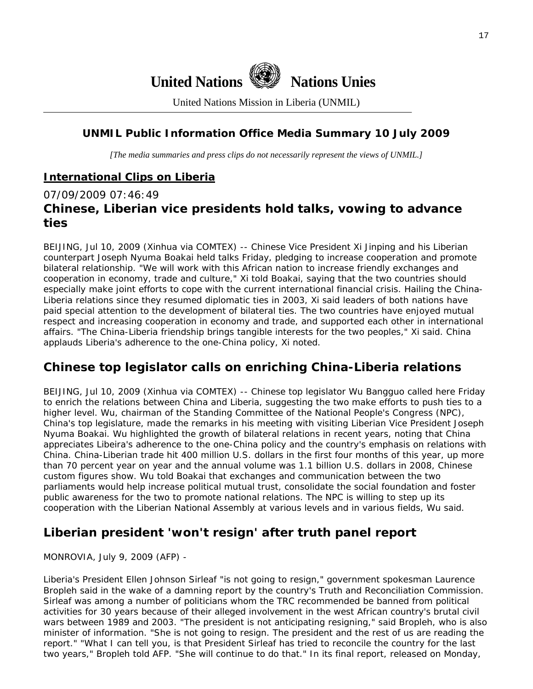

United Nations Mission in Liberia (UNMIL)

# **UNMIL Public Information Office Media Summary 10 July 2009**

*[The media summaries and press clips do not necessarily represent the views of UNMIL.]* 

# **International Clips on Liberia**

# 07/09/2009 07:46:49 **Chinese, Liberian vice presidents hold talks, vowing to advance ties**

BEIJING, Jul 10, 2009 (Xinhua via COMTEX) -- Chinese Vice President Xi Jinping and his Liberian counterpart Joseph Nyuma Boakai held talks Friday, pledging to increase cooperation and promote bilateral relationship. "We will work with this African nation to increase friendly exchanges and cooperation in economy, trade and culture," Xi told Boakai, saying that the two countries should especially make joint efforts to cope with the current international financial crisis. Hailing the China-Liberia relations since they resumed diplomatic ties in 2003, Xi said leaders of both nations have paid special attention to the development of bilateral ties. The two countries have enjoyed mutual respect and increasing cooperation in economy and trade, and supported each other in international affairs. "The China-Liberia friendship brings tangible interests for the two peoples," Xi said. China applauds Liberia's adherence to the one-China policy, Xi noted.

# **Chinese top legislator calls on enriching China-Liberia relations**

BEIJING, Jul 10, 2009 (Xinhua via COMTEX) -- Chinese top legislator Wu Bangguo called here Friday to enrich the relations between China and Liberia, suggesting the two make efforts to push ties to a higher level. Wu, chairman of the Standing Committee of the National People's Congress (NPC), China's top legislature, made the remarks in his meeting with visiting Liberian Vice President Joseph Nyuma Boakai. Wu highlighted the growth of bilateral relations in recent years, noting that China appreciates Libeira's adherence to the one-China policy and the country's emphasis on relations with China. China-Liberian trade hit 400 million U.S. dollars in the first four months of this year, up more than 70 percent year on year and the annual volume was 1.1 billion U.S. dollars in 2008, Chinese custom figures show. Wu told Boakai that exchanges and communication between the two parliaments would help increase political mutual trust, consolidate the social foundation and foster public awareness for the two to promote national relations. The NPC is willing to step up its cooperation with the Liberian National Assembly at various levels and in various fields, Wu said.

# **Liberian president 'won't resign' after truth panel report**

MONROVIA, July 9, 2009 (AFP) -

Liberia's President Ellen Johnson Sirleaf "is not going to resign," government spokesman Laurence Bropleh said in the wake of a damning report by the country's Truth and Reconciliation Commission. Sirleaf was among a number of politicians whom the TRC recommended be banned from political activities for 30 years because of their alleged involvement in the west African country's brutal civil wars between 1989 and 2003. "The president is not anticipating resigning," said Bropleh, who is also minister of information. "She is not going to resign. The president and the rest of us are reading the report." "What I can tell you, is that President Sirleaf has tried to reconcile the country for the last two years," Bropleh told AFP. "She will continue to do that." In its final report, released on Monday,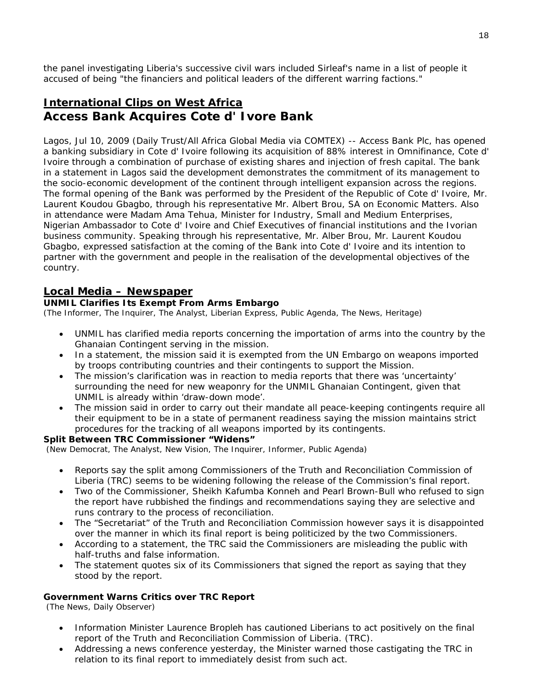the panel investigating Liberia's successive civil wars included Sirleaf's name in a list of people it accused of being "the financiers and political leaders of the different warring factions."

# **International Clips on West Africa Access Bank Acquires Cote d' Ivore Bank**

Lagos, Jul 10, 2009 (Daily Trust/All Africa Global Media via COMTEX) -- Access Bank Plc, has opened a banking subsidiary in Cote d' Ivoire following its acquisition of 88% interest in Omnifinance, Cote d' Ivoire through a combination of purchase of existing shares and injection of fresh capital. The bank in a statement in Lagos said the development demonstrates the commitment of its management to the socio-economic development of the continent through intelligent expansion across the regions. The formal opening of the Bank was performed by the President of the Republic of Cote d' Ivoire, Mr. Laurent Koudou Gbagbo, through his representative Mr. Albert Brou, SA on Economic Matters. Also in attendance were Madam Ama Tehua, Minister for Industry, Small and Medium Enterprises, Nigerian Ambassador to Cote d' Ivoire and Chief Executives of financial institutions and the Ivorian business community. Speaking through his representative, Mr. Alber Brou, Mr. Laurent Koudou Gbagbo, expressed satisfaction at the coming of the Bank into Cote d' Ivoire and its intention to partner with the government and people in the realisation of the developmental objectives of the country.

### **Local Media – Newspaper**

### **UNMIL Clarifies Its Exempt From Arms Embargo**

(The Informer, The Inquirer, The Analyst, Liberian Express, Public Agenda, The News, Heritage)

- UNMIL has clarified media reports concerning the importation of arms into the country by the Ghanaian Contingent serving in the mission.
- In a statement, the mission said it is exempted from the UN Embargo on weapons imported by troops contributing countries and their contingents to support the Mission.
- The mission's clarification was in reaction to media reports that there was 'uncertainty' surrounding the need for new weaponry for the UNMIL Ghanaian Contingent, given that UNMIL is already within 'draw-down mode'.
- The mission said in order to carry out their mandate all peace-keeping contingents require all their equipment to be in a state of permanent readiness saying the mission maintains strict procedures for the tracking of all weapons imported by its contingents.

### **Split Between TRC Commissioner "Widens"**

(New Democrat, The Analyst, New Vision, The Inquirer, Informer, Public Agenda)

- Reports say the split among Commissioners of the Truth and Reconciliation Commission of Liberia (TRC) seems to be widening following the release of the Commission's final report.
- Two of the Commissioner, Sheikh Kafumba Konneh and Pearl Brown-Bull who refused to sign the report have rubbished the findings and recommendations saying they are selective and runs contrary to the process of reconciliation.
- The "Secretariat" of the Truth and Reconciliation Commission however says it is disappointed over the manner in which its final report is being politicized by the two Commissioners.
- According to a statement, the TRC said the Commissioners are misleading the public with half-truths and false information.
- The statement quotes six of its Commissioners that signed the report as saying that they stood by the report.

### **Government Warns Critics over TRC Report**

(The News, Daily Observer)

- Information Minister Laurence Bropleh has cautioned Liberians to act positively on the final report of the Truth and Reconciliation Commission of Liberia. (TRC).
- Addressing a news conference yesterday, the Minister warned those castigating the TRC in relation to its final report to immediately desist from such act.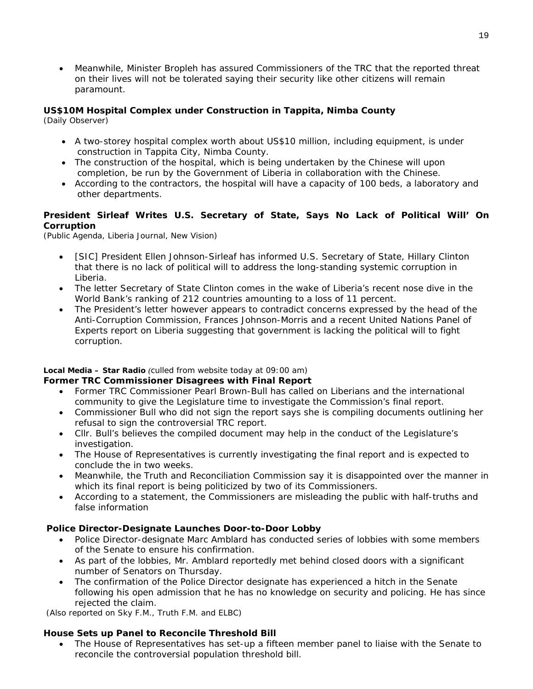• Meanwhile, Minister Bropleh has assured Commissioners of the TRC that the reported threat on their lives will not be tolerated saying their security like other citizens will remain paramount.

### **US\$10M Hospital Complex under Construction in Tappita, Nimba County**

(Daily Observer)

- A two-storey hospital complex worth about US\$10 million, including equipment, is under construction in Tappita City, Nimba County.
- The construction of the hospital, which is being undertaken by the Chinese will upon completion, be run by the Government of Liberia in collaboration with the Chinese.
- According to the contractors, the hospital will have a capacity of 100 beds, a laboratory and other departments.

### **President Sirleaf Writes U.S. Secretary of State, Says No Lack of Political Will' On Corruption**

(Public Agenda, Liberia Journal, New Vision)

- [SIC] President Ellen Johnson-Sirleaf has informed U.S. Secretary of State, Hillary Clinton that there is no lack of political will to address the long-standing systemic corruption in Liberia.
- The letter Secretary of State Clinton comes in the wake of Liberia's recent nose dive in the World Bank's ranking of 212 countries amounting to a loss of 11 percent.
- The President's letter however appears to contradict concerns expressed by the head of the Anti-Corruption Commission, Frances Johnson-Morris and a recent United Nations Panel of Experts report on Liberia suggesting that government is lacking the political will to fight corruption.

### **Local Media – Star Radio** *(culled from website today at 09:00 am)*

### **Former TRC Commissioner Disagrees with Final Report**

- Former TRC Commissioner Pearl Brown-Bull has called on Liberians and the international community to give the Legislature time to investigate the Commission's final report.
- Commissioner Bull who did not sign the report says she is compiling documents outlining her refusal to sign the controversial TRC report.
- Cllr. Bull's believes the compiled document may help in the conduct of the Legislature's investigation.
- The House of Representatives is currently investigating the final report and is expected to conclude the in two weeks.
- Meanwhile, the Truth and Reconciliation Commission say it is disappointed over the manner in which its final report is being politicized by two of its Commissioners.
- According to a statement, the Commissioners are misleading the public with half-truths and false information

### **Police Director-Designate Launches Door-to-Door Lobby**

- Police Director-designate Marc Amblard has conducted series of lobbies with some members of the Senate to ensure his confirmation.
- As part of the lobbies, Mr. Amblard reportedly met behind closed doors with a significant number of Senators on Thursday.
- The confirmation of the Police Director designate has experienced a hitch in the Senate following his open admission that he has no knowledge on security and policing. He has since rejected the claim.

 *(Also reported on Sky F.M., Truth F.M. and ELBC)*

### **House Sets up Panel to Reconcile Threshold Bill**

• The House of Representatives has set-up a fifteen member panel to liaise with the Senate to reconcile the controversial population threshold bill.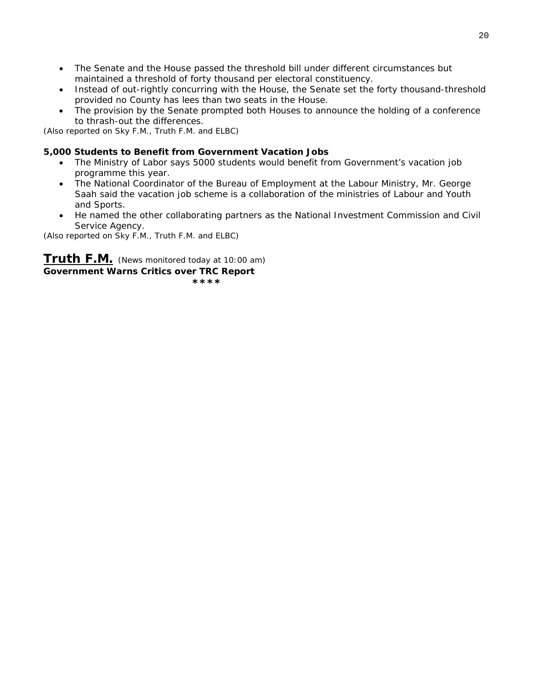- The Senate and the House passed the threshold bill under different circumstances but maintained a threshold of forty thousand per electoral constituency.
- Instead of out-rightly concurring with the House, the Senate set the forty thousand-threshold provided no County has lees than two seats in the House.
- The provision by the Senate prompted both Houses to announce the holding of a conference to thrash-out the differences.

*(Also reported on Sky F.M., Truth F.M. and ELBC)*

### **5,000 Students to Benefit from Government Vacation Jobs**

- The Ministry of Labor says 5000 students would benefit from Government's vacation job programme this year.
- The National Coordinator of the Bureau of Employment at the Labour Ministry, Mr. George Saah said the vacation job scheme is a collaboration of the ministries of Labour and Youth and Sports.
- He named the other collaborating partners as the National Investment Commission and Civil Service Agency.

*(Also reported on Sky F.M., Truth F.M. and ELBC)*

**Truth F.M.** *(News monitored today at 10:00 am)*  **Government Warns Critics over TRC Report \*\*\*\* \*\*\***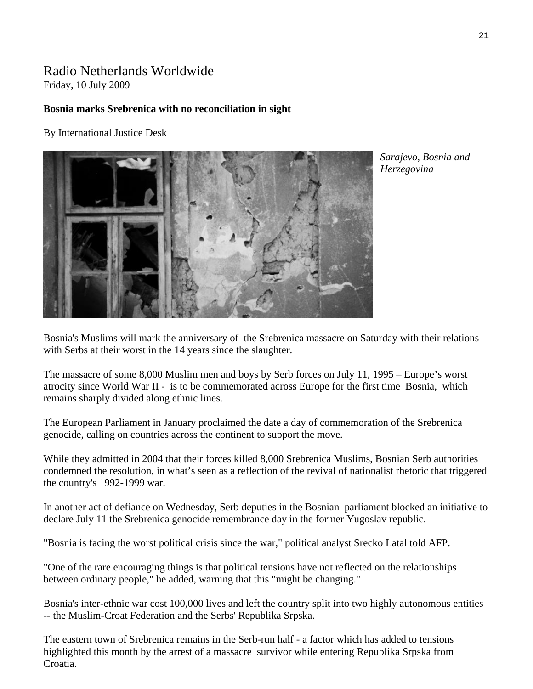### Radio Netherlands Worldwide Friday, 10 July 2009

### **Bosnia marks Srebrenica with no reconciliation in sight**

By International Justice Desk



*Sarajevo, Bosnia and Herzegovina* 

Bosnia's Muslims will mark the anniversary of the Srebrenica massacre on Saturday with their relations with Serbs at their worst in the 14 years since the slaughter.

The massacre of some 8,000 Muslim men and boys by Serb forces on July 11, 1995 – Europe's worst atrocity since World War II - is to be commemorated across Europe for the first time Bosnia, which remains sharply divided along ethnic lines.

The European Parliament in January proclaimed the date a day of commemoration of the Srebrenica genocide, calling on countries across the continent to support the move.

While they admitted in 2004 that their forces killed 8,000 Srebrenica Muslims, Bosnian Serb authorities condemned the resolution, in what's seen as a reflection of the revival of nationalist rhetoric that triggered the country's 1992-1999 war.

In another act of defiance on Wednesday, Serb deputies in the Bosnian parliament blocked an initiative to declare July 11 the Srebrenica genocide remembrance day in the former Yugoslav republic.

"Bosnia is facing the worst political crisis since the war," political analyst Srecko Latal told AFP.

"One of the rare encouraging things is that political tensions have not reflected on the relationships between ordinary people," he added, warning that this "might be changing."

Bosnia's inter-ethnic war cost 100,000 lives and left the country split into two highly autonomous entities -- the Muslim-Croat Federation and the Serbs' Republika Srpska.

The eastern town of Srebrenica remains in the Serb-run half - a factor which has added to tensions highlighted this month by the arrest of a massacre survivor while entering Republika Srpska from Croatia.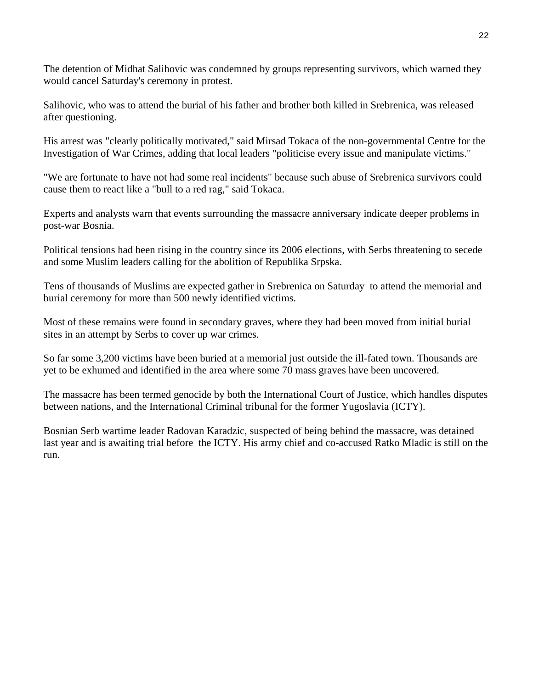The detention of Midhat Salihovic was condemned by groups representing survivors, which warned they would cancel Saturday's ceremony in protest.

Salihovic, who was to attend the burial of his father and brother both killed in Srebrenica, was released after questioning.

His arrest was "clearly politically motivated," said Mirsad Tokaca of the non-governmental Centre for the Investigation of War Crimes, adding that local leaders "politicise every issue and manipulate victims."

"We are fortunate to have not had some real incidents" because such abuse of Srebrenica survivors could cause them to react like a "bull to a red rag," said Tokaca.

Experts and analysts warn that events surrounding the massacre anniversary indicate deeper problems in post-war Bosnia.

Political tensions had been rising in the country since its 2006 elections, with Serbs threatening to secede and some Muslim leaders calling for the abolition of Republika Srpska.

Tens of thousands of Muslims are expected gather in Srebrenica on Saturday to attend the memorial and burial ceremony for more than 500 newly identified victims.

Most of these remains were found in secondary graves, where they had been moved from initial burial sites in an attempt by Serbs to cover up war crimes.

So far some 3,200 victims have been buried at a memorial just outside the ill-fated town. Thousands are yet to be exhumed and identified in the area where some 70 mass graves have been uncovered.

The massacre has been termed genocide by both the International Court of Justice, which handles disputes between nations, and the International Criminal tribunal for the former Yugoslavia (ICTY).

Bosnian Serb wartime leader Radovan Karadzic, suspected of being behind the massacre, was detained last year and is awaiting trial before the ICTY. His army chief and co-accused Ratko Mladic is still on the run.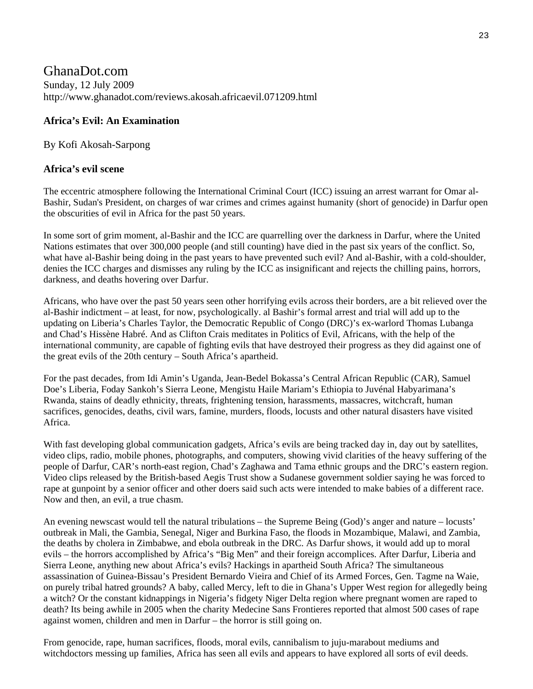# GhanaDot.com Sunday, 12 July 2009 http://www.ghanadot.com/reviews.akosah.africaevil.071209.html

### **Africa's Evil: An Examination**

By Kofi Akosah-Sarpong

### **Africa's evil scene**

The eccentric atmosphere following the International Criminal Court (ICC) issuing an arrest warrant for Omar al-Bashir, Sudan's President, on charges of war crimes and crimes against humanity (short of genocide) in Darfur open the obscurities of evil in Africa for the past 50 years.

In some sort of grim moment, al-Bashir and the ICC are quarrelling over the darkness in Darfur, where the United Nations estimates that over 300,000 people (and still counting) have died in the past six years of the conflict. So, what have al-Bashir being doing in the past years to have prevented such evil? And al-Bashir, with a cold-shoulder, denies the ICC charges and dismisses any ruling by the ICC as insignificant and rejects the chilling pains, horrors, darkness, and deaths hovering over Darfur.

Africans, who have over the past 50 years seen other horrifying evils across their borders, are a bit relieved over the al-Bashir indictment – at least, for now, psychologically. al Bashir's formal arrest and trial will add up to the updating on Liberia's Charles Taylor, the Democratic Republic of Congo (DRC)'s ex-warlord Thomas Lubanga and Chad's Hissène Habré. And as Clifton Crais meditates in Politics of Evil, Africans, with the help of the international community, are capable of fighting evils that have destroyed their progress as they did against one of the great evils of the 20th century – South Africa's apartheid.

For the past decades, from Idi Amin's Uganda, Jean-Bedel Bokassa's Central African Republic (CAR), Samuel Doe's Liberia, Foday Sankoh's Sierra Leone, Mengistu Haile Mariam's Ethiopia to Juvénal Habyarimana's Rwanda, stains of deadly ethnicity, threats, frightening tension, harassments, massacres, witchcraft, human sacrifices, genocides, deaths, civil wars, famine, murders, floods, locusts and other natural disasters have visited Africa.

With fast developing global communication gadgets, Africa's evils are being tracked day in, day out by satellites, video clips, radio, mobile phones, photographs, and computers, showing vivid clarities of the heavy suffering of the people of Darfur, CAR's north-east region, Chad's Zaghawa and Tama ethnic groups and the DRC's eastern region. Video clips released by the British-based Aegis Trust show a Sudanese government soldier saying he was forced to rape at gunpoint by a senior officer and other doers said such acts were intended to make babies of a different race. Now and then, an evil, a true chasm.

An evening newscast would tell the natural tribulations – the Supreme Being (God)'s anger and nature – locusts' outbreak in Mali, the Gambia, Senegal, Niger and Burkina Faso, the floods in Mozambique, Malawi, and Zambia, the deaths by cholera in Zimbabwe, and ebola outbreak in the DRC. As Darfur shows, it would add up to moral evils – the horrors accomplished by Africa's "Big Men" and their foreign accomplices. After Darfur, Liberia and Sierra Leone, anything new about Africa's evils? Hackings in apartheid South Africa? The simultaneous assassination of Guinea-Bissau's President Bernardo Vieira and Chief of its Armed Forces, Gen. Tagme na Waie, on purely tribal hatred grounds? A baby, called Mercy, left to die in Ghana's Upper West region for allegedly being a witch? Or the constant kidnappings in Nigeria's fidgety Niger Delta region where pregnant women are raped to death? Its being awhile in 2005 when the charity Medecine Sans Frontieres reported that almost 500 cases of rape against women, children and men in Darfur – the horror is still going on.

From genocide, rape, human sacrifices, floods, moral evils, cannibalism to juju-marabout mediums and witchdoctors messing up families, Africa has seen all evils and appears to have explored all sorts of evil deeds.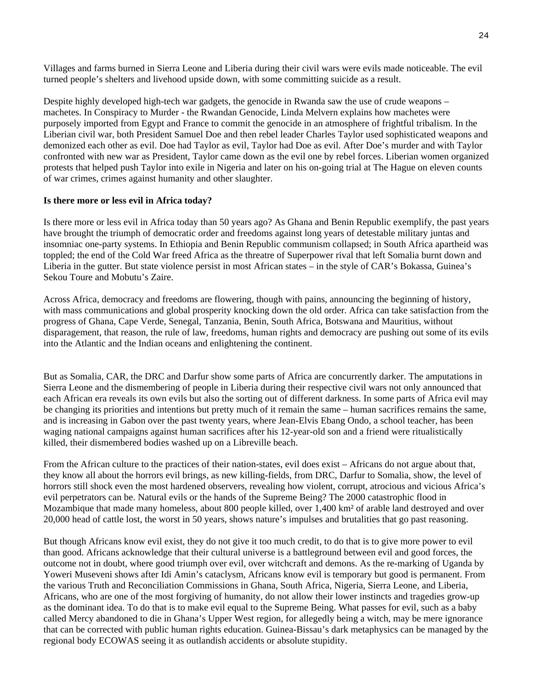Villages and farms burned in Sierra Leone and Liberia during their civil wars were evils made noticeable. The evil turned people's shelters and livehood upside down, with some committing suicide as a result.

Despite highly developed high-tech war gadgets, the genocide in Rwanda saw the use of crude weapons – machetes. In Conspiracy to Murder - the Rwandan Genocide, Linda Melvern explains how machetes were purposely imported from Egypt and France to commit the genocide in an atmosphere of frightful tribalism. In the Liberian civil war, both President Samuel Doe and then rebel leader Charles Taylor used sophisticated weapons and demonized each other as evil. Doe had Taylor as evil, Taylor had Doe as evil. After Doe's murder and with Taylor confronted with new war as President, Taylor came down as the evil one by rebel forces. Liberian women organized protests that helped push Taylor into exile in Nigeria and later on his on-going trial at The Hague on eleven counts of war crimes, crimes against humanity and other slaughter.

### **Is there more or less evil in Africa today?**

Is there more or less evil in Africa today than 50 years ago? As Ghana and Benin Republic exemplify, the past years have brought the triumph of democratic order and freedoms against long years of detestable military juntas and insomniac one-party systems. In Ethiopia and Benin Republic communism collapsed; in South Africa apartheid was toppled; the end of the Cold War freed Africa as the threatre of Superpower rival that left Somalia burnt down and Liberia in the gutter. But state violence persist in most African states – in the style of CAR's Bokassa, Guinea's Sekou Toure and Mobutu's Zaire.

Across Africa, democracy and freedoms are flowering, though with pains, announcing the beginning of history, with mass communications and global prosperity knocking down the old order. Africa can take satisfaction from the progress of Ghana, Cape Verde, Senegal, Tanzania, Benin, South Africa, Botswana and Mauritius, without disparagement, that reason, the rule of law, freedoms, human rights and democracy are pushing out some of its evils into the Atlantic and the Indian oceans and enlightening the continent.

But as Somalia, CAR, the DRC and Darfur show some parts of Africa are concurrently darker. The amputations in Sierra Leone and the dismembering of people in Liberia during their respective civil wars not only announced that each African era reveals its own evils but also the sorting out of different darkness. In some parts of Africa evil may be changing its priorities and intentions but pretty much of it remain the same – human sacrifices remains the same, and is increasing in Gabon over the past twenty years, where Jean-Elvis Ebang Ondo, a school teacher, has been waging national campaigns against human sacrifices after his 12-year-old son and a friend were ritualistically killed, their dismembered bodies washed up on a Libreville beach.

From the African culture to the practices of their nation-states, evil does exist – Africans do not argue about that, they know all about the horrors evil brings, as new killing-fields, from DRC, Darfur to Somalia, show, the level of horrors still shock even the most hardened observers, revealing how violent, corrupt, atrocious and vicious Africa's evil perpetrators can be. Natural evils or the hands of the Supreme Being? The 2000 catastrophic flood in Mozambique that made many homeless, about 800 people killed, over 1,400 km² of arable land destroyed and over 20,000 head of cattle lost, the worst in 50 years, shows nature's impulses and brutalities that go past reasoning.

But though Africans know evil exist, they do not give it too much credit, to do that is to give more power to evil than good. Africans acknowledge that their cultural universe is a battleground between evil and good forces, the outcome not in doubt, where good triumph over evil, over witchcraft and demons. As the re-marking of Uganda by Yoweri Museveni shows after Idi Amin's cataclysm, Africans know evil is temporary but good is permanent. From the various Truth and Reconciliation Commissions in Ghana, South Africa, Nigeria, Sierra Leone, and Liberia, Africans, who are one of the most forgiving of humanity, do not allow their lower instincts and tragedies grow-up as the dominant idea. To do that is to make evil equal to the Supreme Being. What passes for evil, such as a baby called Mercy abandoned to die in Ghana's Upper West region, for allegedly being a witch, may be mere ignorance that can be corrected with public human rights education. Guinea-Bissau's dark metaphysics can be managed by the regional body ECOWAS seeing it as outlandish accidents or absolute stupidity.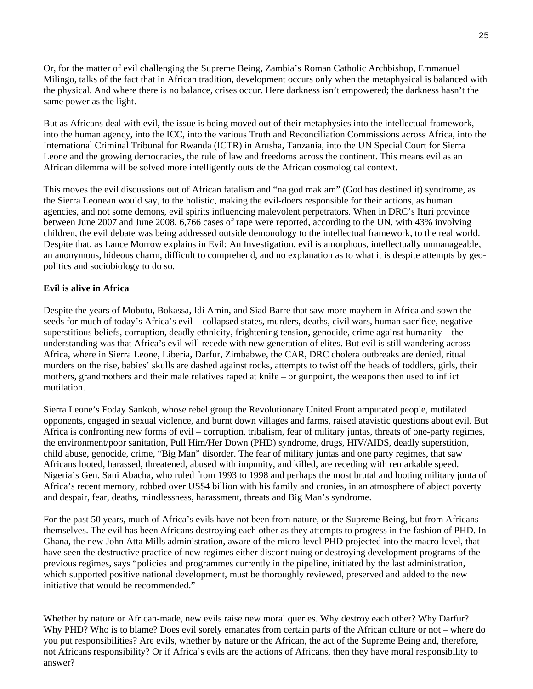Or, for the matter of evil challenging the Supreme Being, Zambia's Roman Catholic Archbishop, Emmanuel Milingo, talks of the fact that in African tradition, development occurs only when the metaphysical is balanced with the physical. And where there is no balance, crises occur. Here darkness isn't empowered; the darkness hasn't the same power as the light.

But as Africans deal with evil, the issue is being moved out of their metaphysics into the intellectual framework, into the human agency, into the ICC, into the various Truth and Reconciliation Commissions across Africa, into the International Criminal Tribunal for Rwanda (ICTR) in Arusha, Tanzania, into the UN Special Court for Sierra Leone and the growing democracies, the rule of law and freedoms across the continent. This means evil as an African dilemma will be solved more intelligently outside the African cosmological context.

This moves the evil discussions out of African fatalism and "na god mak am" (God has destined it) syndrome, as the Sierra Leonean would say, to the holistic, making the evil-doers responsible for their actions, as human agencies, and not some demons, evil spirits influencing malevolent perpetrators. When in DRC's Ituri province between June 2007 and June 2008, 6,766 cases of rape were reported, according to the UN, with 43% involving children, the evil debate was being addressed outside demonology to the intellectual framework, to the real world. Despite that, as Lance Morrow explains in Evil: An Investigation, evil is amorphous, intellectually unmanageable, an anonymous, hideous charm, difficult to comprehend, and no explanation as to what it is despite attempts by geopolitics and sociobiology to do so.

### **Evil is alive in Africa**

Despite the years of Mobutu, Bokassa, Idi Amin, and Siad Barre that saw more mayhem in Africa and sown the seeds for much of today's Africa's evil – collapsed states, murders, deaths, civil wars, human sacrifice, negative superstitious beliefs, corruption, deadly ethnicity, frightening tension, genocide, crime against humanity – the understanding was that Africa's evil will recede with new generation of elites. But evil is still wandering across Africa, where in Sierra Leone, Liberia, Darfur, Zimbabwe, the CAR, DRC cholera outbreaks are denied, ritual murders on the rise, babies' skulls are dashed against rocks, attempts to twist off the heads of toddlers, girls, their mothers, grandmothers and their male relatives raped at knife – or gunpoint, the weapons then used to inflict mutilation.

Sierra Leone's Foday Sankoh, whose rebel group the Revolutionary United Front amputated people, mutilated opponents, engaged in sexual violence, and burnt down villages and farms, raised atavistic questions about evil. But Africa is confronting new forms of evil – corruption, tribalism, fear of military juntas, threats of one-party regimes, the environment/poor sanitation, Pull Him/Her Down (PHD) syndrome, drugs, HIV/AIDS, deadly superstition, child abuse, genocide, crime, "Big Man" disorder. The fear of military juntas and one party regimes, that saw Africans looted, harassed, threatened, abused with impunity, and killed, are receding with remarkable speed. Nigeria's Gen. Sani Abacha, who ruled from 1993 to 1998 and perhaps the most brutal and looting military junta of Africa's recent memory, robbed over US\$4 billion with his family and cronies, in an atmosphere of abject poverty and despair, fear, deaths, mindlessness, harassment, threats and Big Man's syndrome.

For the past 50 years, much of Africa's evils have not been from nature, or the Supreme Being, but from Africans themselves. The evil has been Africans destroying each other as they attempts to progress in the fashion of PHD. In Ghana, the new John Atta Mills administration, aware of the micro-level PHD projected into the macro-level, that have seen the destructive practice of new regimes either discontinuing or destroying development programs of the previous regimes, says "policies and programmes currently in the pipeline, initiated by the last administration, which supported positive national development, must be thoroughly reviewed, preserved and added to the new initiative that would be recommended."

Whether by nature or African-made, new evils raise new moral queries. Why destroy each other? Why Darfur? Why PHD? Who is to blame? Does evil sorely emanates from certain parts of the African culture or not – where do you put responsibilities? Are evils, whether by nature or the African, the act of the Supreme Being and, therefore, not Africans responsibility? Or if Africa's evils are the actions of Africans, then they have moral responsibility to answer?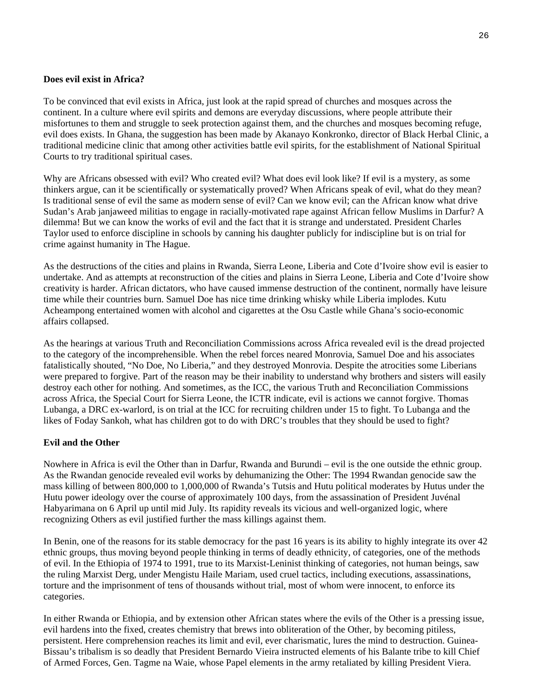### **Does evil exist in Africa?**

To be convinced that evil exists in Africa, just look at the rapid spread of churches and mosques across the continent. In a culture where evil spirits and demons are everyday discussions, where people attribute their misfortunes to them and struggle to seek protection against them, and the churches and mosques becoming refuge, evil does exists. In Ghana, the suggestion has been made by Akanayo Konkronko, director of Black Herbal Clinic, a traditional medicine clinic that among other activities battle evil spirits, for the establishment of National Spiritual Courts to try traditional spiritual cases.

Why are Africans obsessed with evil? Who created evil? What does evil look like? If evil is a mystery, as some thinkers argue, can it be scientifically or systematically proved? When Africans speak of evil, what do they mean? Is traditional sense of evil the same as modern sense of evil? Can we know evil; can the African know what drive Sudan's Arab janjaweed militias to engage in racially-motivated rape against African fellow Muslims in Darfur? A dilemma! But we can know the works of evil and the fact that it is strange and understated. President Charles Taylor used to enforce discipline in schools by canning his daughter publicly for indiscipline but is on trial for crime against humanity in The Hague.

As the destructions of the cities and plains in Rwanda, Sierra Leone, Liberia and Cote d'Ivoire show evil is easier to undertake. And as attempts at reconstruction of the cities and plains in Sierra Leone, Liberia and Cote d'Ivoire show creativity is harder. African dictators, who have caused immense destruction of the continent, normally have leisure time while their countries burn. Samuel Doe has nice time drinking whisky while Liberia implodes. Kutu Acheampong entertained women with alcohol and cigarettes at the Osu Castle while Ghana's socio-economic affairs collapsed.

As the hearings at various Truth and Reconciliation Commissions across Africa revealed evil is the dread projected to the category of the incomprehensible. When the rebel forces neared Monrovia, Samuel Doe and his associates fatalistically shouted, "No Doe, No Liberia," and they destroyed Monrovia. Despite the atrocities some Liberians were prepared to forgive. Part of the reason may be their inability to understand why brothers and sisters will easily destroy each other for nothing. And sometimes, as the ICC, the various Truth and Reconciliation Commissions across Africa, the Special Court for Sierra Leone, the ICTR indicate, evil is actions we cannot forgive. Thomas Lubanga, a DRC ex-warlord, is on trial at the ICC for recruiting children under 15 to fight. To Lubanga and the likes of Foday Sankoh, what has children got to do with DRC's troubles that they should be used to fight?

### **Evil and the Other**

Nowhere in Africa is evil the Other than in Darfur, Rwanda and Burundi – evil is the one outside the ethnic group. As the Rwandan genocide revealed evil works by dehumanizing the Other: The 1994 Rwandan genocide saw the mass killing of between 800,000 to 1,000,000 of Rwanda's Tutsis and Hutu political moderates by Hutus under the Hutu power ideology over the course of approximately 100 days, from the assassination of President Juvénal Habyarimana on 6 April up until mid July. Its rapidity reveals its vicious and well-organized logic, where recognizing Others as evil justified further the mass killings against them.

In Benin, one of the reasons for its stable democracy for the past 16 years is its ability to highly integrate its over 42 ethnic groups, thus moving beyond people thinking in terms of deadly ethnicity, of categories, one of the methods of evil. In the Ethiopia of 1974 to 1991, true to its Marxist-Leninist thinking of categories, not human beings, saw the ruling Marxist Derg, under Mengistu Haile Mariam, used cruel tactics, including executions, assassinations, torture and the imprisonment of tens of thousands without trial, most of whom were innocent, to enforce its categories.

In either Rwanda or Ethiopia, and by extension other African states where the evils of the Other is a pressing issue, evil hardens into the fixed, creates chemistry that brews into obliteration of the Other, by becoming pitiless, persistent. Here comprehension reaches its limit and evil, ever charismatic, lures the mind to destruction. Guinea-Bissau's tribalism is so deadly that President Bernardo Vieira instructed elements of his Balante tribe to kill Chief of Armed Forces, Gen. Tagme na Waie, whose Papel elements in the army retaliated by killing President Viera.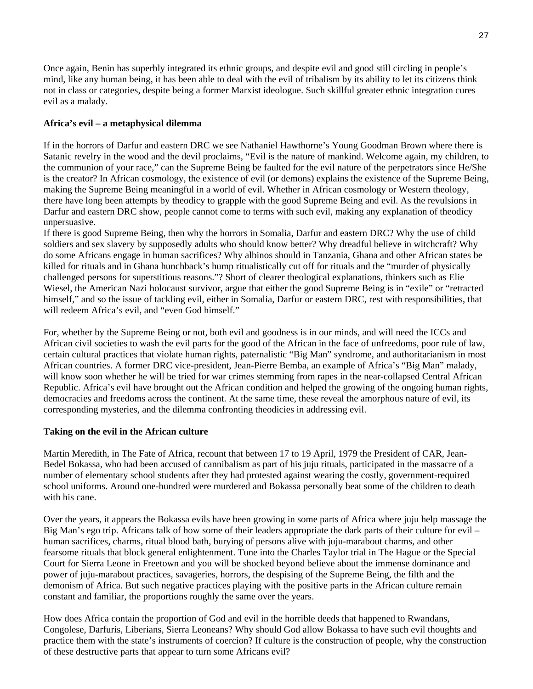Once again, Benin has superbly integrated its ethnic groups, and despite evil and good still circling in people's mind, like any human being, it has been able to deal with the evil of tribalism by its ability to let its citizens think not in class or categories, despite being a former Marxist ideologue. Such skillful greater ethnic integration cures evil as a malady.

### **Africa's evil – a metaphysical dilemma**

If in the horrors of Darfur and eastern DRC we see Nathaniel Hawthorne's Young Goodman Brown where there is Satanic revelry in the wood and the devil proclaims, "Evil is the nature of mankind. Welcome again, my children, to the communion of your race," can the Supreme Being be faulted for the evil nature of the perpetrators since He/She is the creator? In African cosmology, the existence of evil (or demons) explains the existence of the Supreme Being, making the Supreme Being meaningful in a world of evil. Whether in African cosmology or Western theology, there have long been attempts by theodicy to grapple with the good Supreme Being and evil. As the revulsions in Darfur and eastern DRC show, people cannot come to terms with such evil, making any explanation of theodicy unpersuasive.

If there is good Supreme Being, then why the horrors in Somalia, Darfur and eastern DRC? Why the use of child soldiers and sex slavery by supposedly adults who should know better? Why dreadful believe in witchcraft? Why do some Africans engage in human sacrifices? Why albinos should in Tanzania, Ghana and other African states be killed for rituals and in Ghana hunchback's hump ritualistically cut off for rituals and the "murder of physically challenged persons for superstitious reasons."? Short of clearer theological explanations, thinkers such as Elie Wiesel, the American Nazi holocaust survivor, argue that either the good Supreme Being is in "exile" or "retracted himself," and so the issue of tackling evil, either in Somalia, Darfur or eastern DRC, rest with responsibilities, that will redeem Africa's evil, and "even God himself."

For, whether by the Supreme Being or not, both evil and goodness is in our minds, and will need the ICCs and African civil societies to wash the evil parts for the good of the African in the face of unfreedoms, poor rule of law, certain cultural practices that violate human rights, paternalistic "Big Man" syndrome, and authoritarianism in most African countries. A former DRC vice-president, Jean-Pierre Bemba, an example of Africa's "Big Man" malady, will know soon whether he will be tried for war crimes stemming from rapes in the near-collapsed Central African Republic. Africa's evil have brought out the African condition and helped the growing of the ongoing human rights, democracies and freedoms across the continent. At the same time, these reveal the amorphous nature of evil, its corresponding mysteries, and the dilemma confronting theodicies in addressing evil.

### **Taking on the evil in the African culture**

Martin Meredith, in The Fate of Africa, recount that between 17 to 19 April, 1979 the President of CAR, Jean-Bedel Bokassa, who had been accused of cannibalism as part of his juju rituals, participated in the massacre of a number of elementary school students after they had protested against wearing the costly, government-required school uniforms. Around one-hundred were murdered and Bokassa personally beat some of the children to death with his cane.

Over the years, it appears the Bokassa evils have been growing in some parts of Africa where juju help massage the Big Man's ego trip. Africans talk of how some of their leaders appropriate the dark parts of their culture for evil – human sacrifices, charms, ritual blood bath, burying of persons alive with juju-marabout charms, and other fearsome rituals that block general enlightenment. Tune into the Charles Taylor trial in The Hague or the Special Court for Sierra Leone in Freetown and you will be shocked beyond believe about the immense dominance and power of juju-marabout practices, savageries, horrors, the despising of the Supreme Being, the filth and the demonism of Africa. But such negative practices playing with the positive parts in the African culture remain constant and familiar, the proportions roughly the same over the years.

How does Africa contain the proportion of God and evil in the horrible deeds that happened to Rwandans, Congolese, Darfuris, Liberians, Sierra Leoneans? Why should God allow Bokassa to have such evil thoughts and practice them with the state's instruments of coercion? If culture is the construction of people, why the construction of these destructive parts that appear to turn some Africans evil?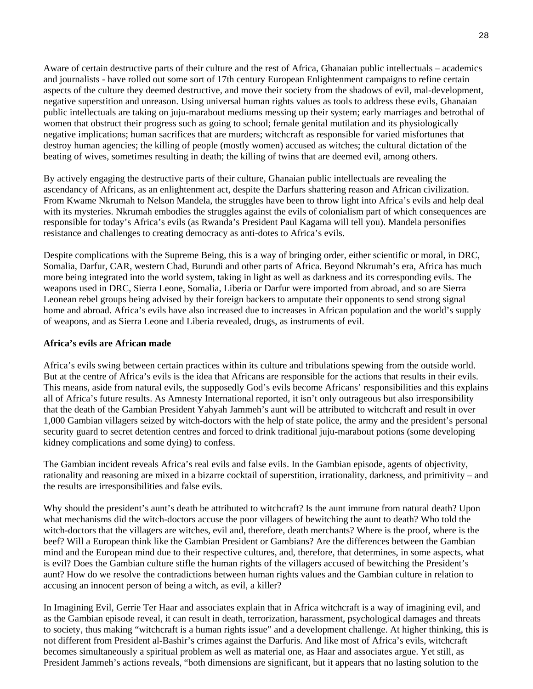Aware of certain destructive parts of their culture and the rest of Africa, Ghanaian public intellectuals – academics and journalists - have rolled out some sort of 17th century European Enlightenment campaigns to refine certain aspects of the culture they deemed destructive, and move their society from the shadows of evil, mal-development, negative superstition and unreason. Using universal human rights values as tools to address these evils, Ghanaian public intellectuals are taking on juju-marabout mediums messing up their system; early marriages and betrothal of women that obstruct their progress such as going to school; female genital mutilation and its physiologically negative implications; human sacrifices that are murders; witchcraft as responsible for varied misfortunes that destroy human agencies; the killing of people (mostly women) accused as witches; the cultural dictation of the beating of wives, sometimes resulting in death; the killing of twins that are deemed evil, among others.

By actively engaging the destructive parts of their culture, Ghanaian public intellectuals are revealing the ascendancy of Africans, as an enlightenment act, despite the Darfurs shattering reason and African civilization. From Kwame Nkrumah to Nelson Mandela, the struggles have been to throw light into Africa's evils and help deal with its mysteries. Nkrumah embodies the struggles against the evils of colonialism part of which consequences are responsible for today's Africa's evils (as Rwanda's President Paul Kagama will tell you). Mandela personifies resistance and challenges to creating democracy as anti-dotes to Africa's evils.

Despite complications with the Supreme Being, this is a way of bringing order, either scientific or moral, in DRC, Somalia, Darfur, CAR, western Chad, Burundi and other parts of Africa. Beyond Nkrumah's era, Africa has much more being integrated into the world system, taking in light as well as darkness and its corresponding evils. The weapons used in DRC, Sierra Leone, Somalia, Liberia or Darfur were imported from abroad, and so are Sierra Leonean rebel groups being advised by their foreign backers to amputate their opponents to send strong signal home and abroad. Africa's evils have also increased due to increases in African population and the world's supply of weapons, and as Sierra Leone and Liberia revealed, drugs, as instruments of evil.

#### **Africa's evils are African made**

Africa's evils swing between certain practices within its culture and tribulations spewing from the outside world. But at the centre of Africa's evils is the idea that Africans are responsible for the actions that results in their evils. This means, aside from natural evils, the supposedly God's evils become Africans' responsibilities and this explains all of Africa's future results. As Amnesty International reported, it isn't only outrageous but also irresponsibility that the death of the Gambian President Yahyah Jammeh's aunt will be attributed to witchcraft and result in over 1,000 Gambian villagers seized by witch-doctors with the help of state police, the army and the president's personal security guard to secret detention centres and forced to drink traditional juju-marabout potions (some developing kidney complications and some dying) to confess.

The Gambian incident reveals Africa's real evils and false evils. In the Gambian episode, agents of objectivity, rationality and reasoning are mixed in a bizarre cocktail of superstition, irrationality, darkness, and primitivity – and the results are irresponsibilities and false evils.

Why should the president's aunt's death be attributed to witchcraft? Is the aunt immune from natural death? Upon what mechanisms did the witch-doctors accuse the poor villagers of bewitching the aunt to death? Who told the witch-doctors that the villagers are witches, evil and, therefore, death merchants? Where is the proof, where is the beef? Will a European think like the Gambian President or Gambians? Are the differences between the Gambian mind and the European mind due to their respective cultures, and, therefore, that determines, in some aspects, what is evil? Does the Gambian culture stifle the human rights of the villagers accused of bewitching the President's aunt? How do we resolve the contradictions between human rights values and the Gambian culture in relation to accusing an innocent person of being a witch, as evil, a killer?

In Imagining Evil, Gerrie Ter Haar and associates explain that in Africa witchcraft is a way of imagining evil, and as the Gambian episode reveal, it can result in death, terrorization, harassment, psychological damages and threats to society, thus making "witchcraft is a human rights issue" and a development challenge. At higher thinking, this is not different from President al-Bashir's crimes against the Darfuris. And like most of Africa's evils, witchcraft becomes simultaneously a spiritual problem as well as material one, as Haar and associates argue. Yet still, as President Jammeh's actions reveals, "both dimensions are significant, but it appears that no lasting solution to the